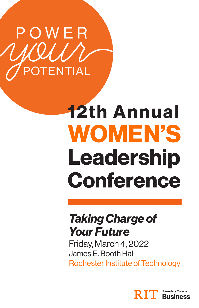

### 12th Annual WOMEN'S Leadership Conference

### *Taking Charge of Your Future*

Friday, March 4, 2022 James E. Booth Hall Rochester Institute of Technology

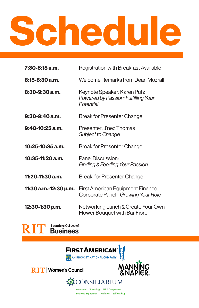# Schedule

| 7:30-8:15 a.m.        | Registration with Breakfast Available                                           |
|-----------------------|---------------------------------------------------------------------------------|
| $8:15-8:30$ a.m.      | Welcome Remarks from Dean Mozrall                                               |
| $8:30-9:30$ a.m.      | Keynote Speaker: Karen Putz<br>Powered by Passion: Fulfilling Your<br>Potential |
| $9:30-9:40$ a.m.      | <b>Break for Presenter Change</b>                                               |
| $9:40-10:25$ a.m.     | Presenter: J'nez Thomas<br>Subject to Change                                    |
| $10:25-10:35$ a.m.    | Break for Presenter Change                                                      |
| 10:35-11:20 a.m.      | Panel Discussion:<br><b>Finding &amp; Feeding Your Passion</b>                  |
| 11:20-11:30 a.m.      | Break for Presenter Change                                                      |
| 11:30 a.m.-12:30 p.m. | <b>First American Equipment Finance</b><br>Corporate Panel - Growing Your Role  |
| 12:30-1:30 p.m.       | Networking Lunch & Create Your Own<br>Flower Bouquet with Bar Fiore             |





**RIT** Women's Council





Healthcare | Technology | HR & Compliance Employee Engagement | Wellness | Self Funding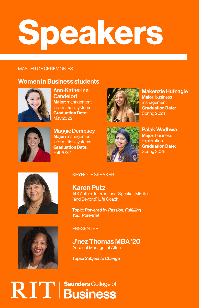## Speakers

#### MASTER OF CEREMONIES

#### Women in Business students



Ann-Katherine **Candelori Major: management** information systems Graduation Date: May 2022



Maggie Dempsey Major: management information systems Graduation Date: Fall 2022



Makenzie Hufnagle **Major: business** management Graduation Date: Spring 2024



Palak Wadhwa **Maior:** business exploration Graduation Date: Spring 2026



#### KEYNOTE SPEAKER

Karen Putz 14X Author, International Speaker, Midlife (and Beyond) Life Coach

Topic: *Powered by Passion: Fulfilling Your Potential*



**PRESENTER** 

J'nez Thomas MBA '20 Account Manager at Altria

Topic: *Subject to Change*

### RIT | Saunders College of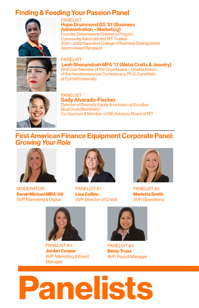#### Finding & Feeding Your Passion Panel



PANELIST Hope Drummond BS '91 (Business Administration – Marketing) Founder, Dreamseeds Children's Program Community Advocate and RIT Trustee 2021 – 2022 Saunders College of Business Distinguished Alumni Award Recipient



PANELIST Leah Shenandoah MFA '17 (Metal Crafts & Jewelry) Wolf Clan Member of the Onyo'ta:aká: – Oneida Nation of the Haudenosaunee Confederacy; Ph.D. Candidate at Cornell University,



PANELIST Sady Alvarado-Fischer Director of Diversity, Equity & Inclusion at Excellus BlueCross BlueShield Co-Sponsor & Member of DEI Advisory Board at RIT

#### First American Finance Equipment Corporate Panel: *Growing Your Role*



MODERATOR: Sarah Michael MBA '09 SVP, Marketing & Digital



PANELIST #1: Lisa Collins SVP, Director of Credit



PANELIST #2: Marietta Smith SVP, Operations



PANELIST #3: Jordan Cooper AVP, Marketing & Event **Manager** 



PANELIST #4: Betsy Truax AVP, Payroll Manager

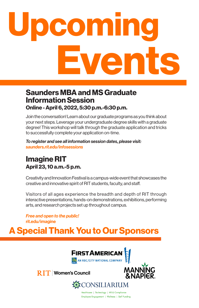## comin vent

#### Online - April 6, 2022, 5:30 p.m.-6:30 p.m. Saunders MBA and MS Graduate Information Session

Join the conversation! Learn about our graduate programs as you think about your next steps. Leverage your undergraduate degree skills with a graduate degree! This workshop will talk through the graduate application and tricks to successfully complete your application on-time.

*To register and see all information session dates, please visit: saunders.rit.edu/infosessions*

#### April 23, 10 a.m.-5 p.m. Imagine RIT

Creativity and Innovation Festival is a campus-wide event that showcases the creative and innovative spirit of RIT students, faculty, and staff.

Visitors of all ages experience the breadth and depth of RIT through interactive presentations, hands-on demonstrations, exhibitions, performing arts, and research projects set up throughout campus.

*Free and open to the public!* rit.edu/imagine

### A Special Thank You to Our Sponsors



**RIT** Women's Council



**紫CONSILIARIUM** Healthcare | Technology | HR & Compliance Employee Engagement | Wellness | Self Funding